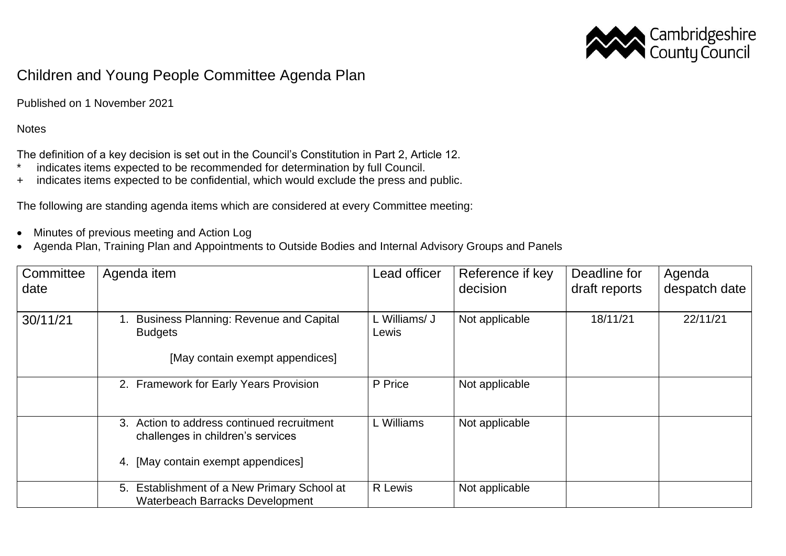

## Children and Young People Committee Agenda Plan

Published on 1 November 2021

**Notes** 

The definition of a key decision is set out in the Council's Constitution in Part 2, Article 12.

- \* indicates items expected to be recommended for determination by full Council.
- + indicates items expected to be confidential, which would exclude the press and public.

The following are standing agenda items which are considered at every Committee meeting:

- Minutes of previous meeting and Action Log
- Agenda Plan, Training Plan and Appointments to Outside Bodies and Internal Advisory Groups and Panels

| Committee<br>date | Agenda item                                                                                                           | Lead officer           | Reference if key<br>decision | Deadline for<br>draft reports | Agenda<br>despatch date |
|-------------------|-----------------------------------------------------------------------------------------------------------------------|------------------------|------------------------------|-------------------------------|-------------------------|
| 30/11/21          | <b>Business Planning: Revenue and Capital</b><br><b>Budgets</b><br>[May contain exempt appendices]                    | L Williams/ J<br>Lewis | Not applicable               | 18/11/21                      | 22/11/21                |
|                   | 2. Framework for Early Years Provision                                                                                | P Price                | Not applicable               |                               |                         |
|                   | 3. Action to address continued recruitment<br>challenges in children's services<br>4. [May contain exempt appendices] | L Williams             | Not applicable               |                               |                         |
|                   | Establishment of a New Primary School at<br>5.<br><b>Waterbeach Barracks Development</b>                              | R Lewis                | Not applicable               |                               |                         |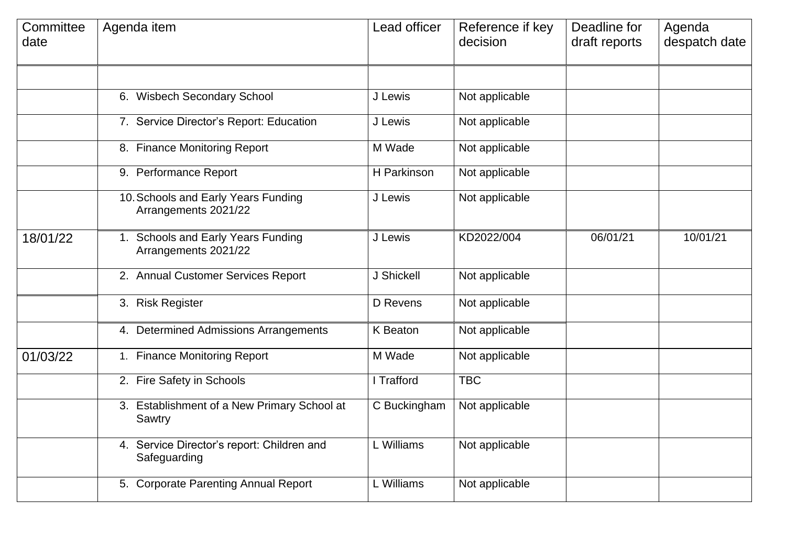| Committee<br>date | Agenda item                                                 | Lead officer | Reference if key<br>decision | Deadline for<br>draft reports | Agenda<br>despatch date |
|-------------------|-------------------------------------------------------------|--------------|------------------------------|-------------------------------|-------------------------|
|                   | 6. Wisbech Secondary School                                 | J Lewis      | Not applicable               |                               |                         |
|                   | 7. Service Director's Report: Education                     | J Lewis      | Not applicable               |                               |                         |
|                   | 8. Finance Monitoring Report                                | M Wade       | Not applicable               |                               |                         |
|                   | 9. Performance Report                                       | H Parkinson  | Not applicable               |                               |                         |
|                   | 10. Schools and Early Years Funding<br>Arrangements 2021/22 | J Lewis      | Not applicable               |                               |                         |
| 18/01/22          | 1. Schools and Early Years Funding<br>Arrangements 2021/22  | J Lewis      | KD2022/004                   | 06/01/21                      | 10/01/21                |
|                   | 2. Annual Customer Services Report                          | J Shickell   | Not applicable               |                               |                         |
|                   | 3. Risk Register                                            | D Revens     | Not applicable               |                               |                         |
|                   | 4. Determined Admissions Arrangements                       | K Beaton     | Not applicable               |                               |                         |
| 01/03/22          | 1. Finance Monitoring Report                                | M Wade       | Not applicable               |                               |                         |
|                   | 2. Fire Safety in Schools                                   | I Trafford   | <b>TBC</b>                   |                               |                         |
|                   | 3. Establishment of a New Primary School at<br>Sawtry       | C Buckingham | Not applicable               |                               |                         |
|                   | 4. Service Director's report: Children and<br>Safeguarding  | L Williams   | Not applicable               |                               |                         |
|                   | 5. Corporate Parenting Annual Report                        | L Williams   | Not applicable               |                               |                         |